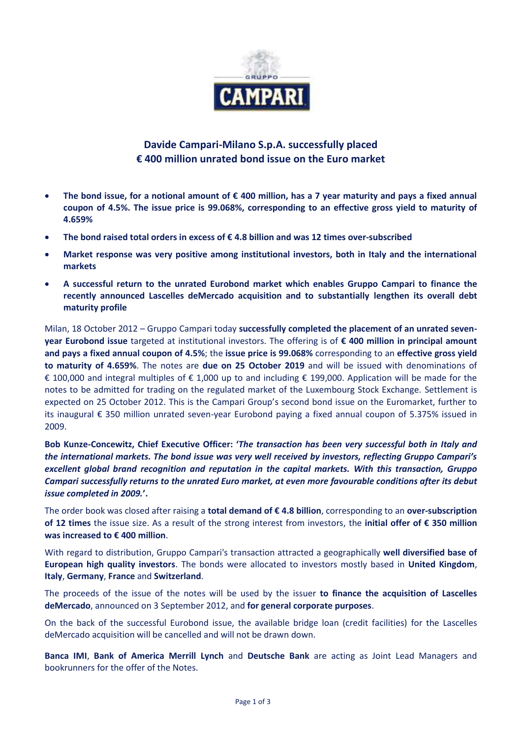

## **Davide Campari-Milano S.p.A. successfully placed € 400 million unrated bond issue on the Euro market**

- **The bond issue, for a notional amount of € 400 million, has a 7 year maturity and pays a fixed annual coupon of 4.5%. The issue price is 99.068%, corresponding to an effective gross yield to maturity of 4.659%**
- **The bond raised total orders in excess of € 4.8 billion and was 12 times over-subscribed**
- **Market response was very positive among institutional investors, both in Italy and the international markets**
- **A successful return to the unrated Eurobond market which enables Gruppo Campari to finance the recently announced Lascelles deMercado acquisition and to substantially lengthen its overall debt maturity profile**

Milan, 18 October 2012 – Gruppo Campari today **successfully completed the placement of an unrated sevenyear Eurobond issue** targeted at institutional investors. The offering is of **€ 400 million in principal amount and pays a fixed annual coupon of 4.5%**; the **issue price is 99.068%** corresponding to an **effective gross yield to maturity of 4.659%**. The notes are **due on 25 October 2019** and will be issued with denominations of € 100,000 and integral multiples of € 1,000 up to and including € 199,000. Application will be made for the notes to be admitted for trading on the regulated market of the Luxembourg Stock Exchange. Settlement is expected on 25 October 2012. This is the Campari Group's second bond issue on the Euromarket, further to its inaugural € 350 million unrated seven-year Eurobond paying a fixed annual coupon of 5.375% issued in 2009.

**Bob Kunze-Concewitz, Chief Executive Officer: '***The transaction has been very successful both in Italy and the international markets. The bond issue was very well received by investors, reflecting Gruppo Campari's excellent global brand recognition and reputation in the capital markets. With this transaction, Gruppo Campari successfully returns to the unrated Euro market, at even more favourable conditions after its debut issue completed in 2009.***'.**

The order book was closed after raising a **total demand of € 4.8 billion**, corresponding to an **over-subscription of 12 times** the issue size. As a result of the strong interest from investors, the **initial offer of € 350 million was increased to € 400 million**.

With regard to distribution, Gruppo Campari's transaction attracted a geographically **well diversified base of European high quality investors**. The bonds were allocated to investors mostly based in **United Kingdom**, **Italy**, **Germany**, **France** and **Switzerland**.

The proceeds of the issue of the notes will be used by the issuer **to finance the acquisition of Lascelles deMercado**, announced on 3 September 2012, and **for general corporate purposes**.

On the back of the successful Eurobond issue, the available bridge loan (credit facilities) for the Lascelles deMercado acquisition will be cancelled and will not be drawn down.

**Banca IMI**, **Bank of America Merrill Lynch** and **Deutsche Bank** are acting as Joint Lead Managers and bookrunners for the offer of the Notes.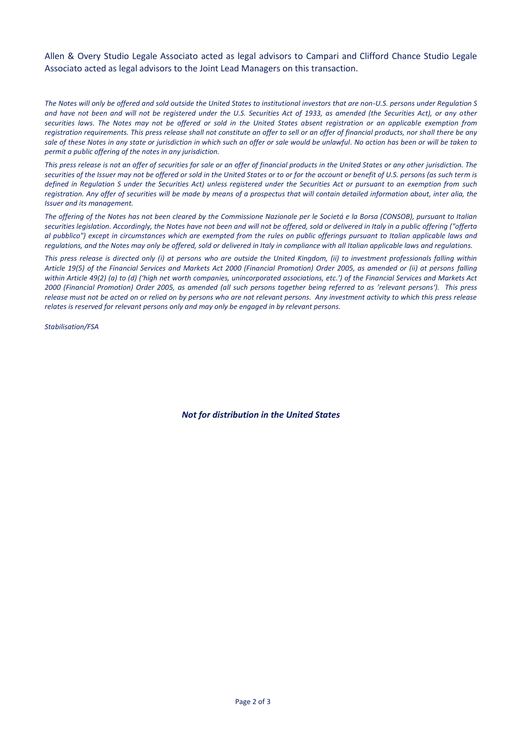Allen & Overy Studio Legale Associato acted as legal advisors to Campari and Clifford Chance Studio Legale Associato acted as legal advisors to the Joint Lead Managers on this transaction.

*The Notes will only be offered and sold outside the United States to institutional investors that are non-U.S. persons under Regulation S and have not been and will not be registered under the U.S. Securities Act of 1933, as amended (the Securities Act), or any other securities laws. The Notes may not be offered or sold in the United States absent registration or an applicable exemption from registration requirements. This press release shall not constitute an offer to sell or an offer of financial products, nor shall there be any sale of these Notes in any state or jurisdiction in which such an offer or sale would be unlawful. No action has been or will be taken to permit a public offering of the notes in any jurisdiction.*

*This press release is not an offer of securities for sale or an offer of financial products in the United States or any other jurisdiction. The securities of the Issuer may not be offered or sold in the United States or to or for the account or benefit of U.S. persons (as such term is defined in Regulation S under the Securities Act) unless registered under the Securities Act or pursuant to an exemption from such registration. Any offer of securities will be made by means of a prospectus that will contain detailed information about, inter alia, the Issuer and its management.*

*The offering of the Notes has not been cleared by the Commissione Nazionale per le Societá e la Borsa (CONSOB), pursuant to Italian securities legislation. Accordingly, the Notes have not been and will not be offered, sold or delivered in Italy in a public offering ("offerta al pubblico") except in circumstances which are exempted from the rules on public offerings pursuant to Italian applicable laws and regulations, and the Notes may only be offered, sold or delivered in Italy in compliance with all Italian applicable laws and regulations.*

*This press release is directed only (i) at persons who are outside the United Kingdom, (ii) to investment professionals falling within Article 19(5) of the Financial Services and Markets Act 2000 (Financial Promotion) Order 2005, as amended or (ii) at persons falling within Article 49(2) (a) to (d) ('high net worth companies, unincorporated associations, etc.') of the Financial Services and Markets Act 2000 (Financial Promotion) Order 2005, as amended (all such persons together being referred to as 'relevant persons'). This press release must not be acted on or relied on by persons who are not relevant persons. Any investment activity to which this press release relates is reserved for relevant persons only and may only be engaged in by relevant persons.*

*Stabilisation/FSA*

*Not for distribution in the United States*